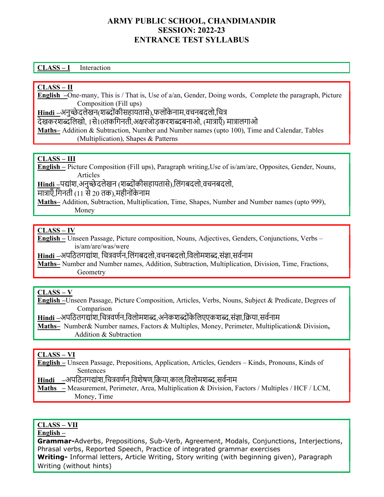## ARMY PUBLIC SCHOOL, CHANDIMANDIR SESSION: 2022-23 ENTRANCE TEST SYLLABUS

#### CLASS – I Interaction

#### CLASS – II

English –One-many, This is / That is, Use of a/an, Gender, Doing words, Complete the paragraph, Picture Composition (Fill ups)

Hindi –अनुच्छेदलेखन(शब्दोंकीसहायतासे),फलोंकेनाम,वचनबदलो,चित्र

देखकरशब्दलिखो, 1से10तकगिनती,अक्षरजोडकरशब्दबनाओ, (मात्राएँ) मात्रालगाओ

Maths– Addition & Subtraction, Number and Number names (upto 100), Time and Calendar, Tables (Multiplication), Shapes & Patterns

### CLASS – III

English – Picture Composition (Fill ups), Paragraph writing,Use of is/am/are, Opposites, Gender, Nouns, Articles

Hindi –पद्यांश,अनुच्छेदलेखन (शब्दोंकीसहायतासे),लिंगबदलो,वचनबदलो,

मात्राएँ,गिनती (11 से 20 तक),महीनोंकेनाम

Maths– Addition, Subtraction, Multiplication, Time, Shapes, Number and Number names (upto 999), Money

#### CLASS – IV

English – Unseen Passage, Picture composition, Nouns, Adjectives, Genders, Conjunctions, Verbs – is/am/are/was/were

Hindi –अपठितगद्यांश, चित्रवर्णन,लिंगबदलो,वचनबदलो,विलोमशब्द,संज्ञा,सर्वनाम

Maths– Number and Number names, Addition, Subtraction, Multiplication, Division, Time, Fractions, Geometry

#### CLASS – V

English –Unseen Passage, Picture Composition, Articles, Verbs, Nouns, Subject & Predicate, Degrees of Comparison

Hindi –अपठितगद्यांश,चित्रवर्णन,विलोमशब्द,अनेकशब्दोंकेलिएएकशब्द,संज्ञा,क्रिया,सर्वनाम

Maths– Number& Number names, Factors & Multiples, Money, Perimeter, Multiplication& Division, Addition & Subtraction

#### CLASS – VI

English – Unseen Passage, Prepositions, Application, Articles, Genders – Kinds, Pronouns, Kinds of Sentences

Hindi –अपठितगद्यांश,चित्रवर्णन,विशेषण,क्रिया,काल,विलोमशब्द,सर्वनाम

Maths – Measurement, Perimeter, Area, Multiplication & Division, Factors / Multiples / HCF / LCM, Money, Time

### CLASS – VII

#### English –

Grammar-Adverbs, Prepositions, Sub-Verb, Agreement, Modals, Conjunctions, Interjections, Phrasal verbs, Reported Speech, Practice of integrated grammar exercises Writing- Informal letters, Article Writing, Story writing (with beginning given), Paragraph Writing (without hints)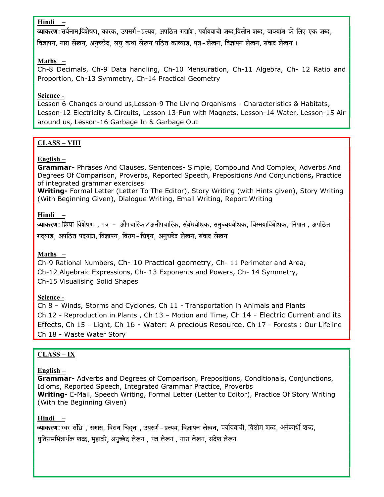#### Hindi –

व्याकरण: सर्वनाम,विशेषण, कारक, उपसर्ग-प्रत्यय, अपठित गद्यांश, पर्यायवाची शब्द,विलोम शब्द, वाक्यांश के लिए एक शब्द,

विज्ञापन, नारा लेखन, अनच्छेद, लघ कथा लेखन पठित काव्यांश, पत्र-लेखन, विज्ञापन लेखन, संवाद लेखन ।

### Maths –

Ch-8 Decimals, Ch-9 Data handling, Ch-10 Mensuration, Ch-11 Algebra, Ch- 12 Ratio and Proportion, Ch-13 Symmetry, Ch-14 Practical Geometry

### Science -

Lesson 6-Changes around us,Lesson-9 The Living Organisms - Characteristics & Habitats, Lesson-12 Electricity & Circuits, Lesson 13-Fun with Magnets, Lesson-14 Water, Lesson-15 Air around us, Lesson-16 Garbage In & Garbage Out

# CLASS – VIII

## English –

Grammar- Phrases And Clauses, Sentences- Simple, Compound And Complex, Adverbs And Degrees Of Comparison, Proverbs, Reported Speech, Prepositions And Conjunctions, Practice of integrated grammar exercises

Writing- Formal Letter (Letter To The Editor), Story Writing (with Hints given), Story Writing (With Beginning Given), Dialogue Writing, Email Writing, Report Writing

# Hindi –

**व्याकरण:** क्रिया विशेषण , पत्र – औपचारिक ⁄ अनौपचारिक, संबंधबोधक, समुच्चयबोधक, विस्मयादिबोधक, निपात , अपठित गदयांश, अपठित पदयांश, विज्ञापन, विराम-चिहन, अनुच्छेद लेखन, संवाद लेखन

# Maths –

Ch-9 Rational Numbers, Ch- 10 Practical geometry, Ch- 11 Perimeter and Area, Ch-12 Algebraic Expressions, Ch- 13 Exponents and Powers, Ch- 14 Symmetry, Ch-15 Visualising Solid Shapes

# Science -

Ch 8 – Winds, Storms and Cyclones, Ch 11 - Transportation in Animals and Plants Ch 12 - Reproduction in Plants , Ch 13 – Motion and Time, Ch 14 - Electric Current and its Effects, Ch 15 – Light, Ch 16 - Water: A precious Resource, Ch 17 - Forests : Our Lifeline Ch 18 - Waste Water Story

# CLASS – IX

### English –

Grammar- Adverbs and Degrees of Comparison, Prepositions, Conditionals, Conjunctions, Idioms, Reported Speech, Integrated Grammar Practice, Proverbs Writing- E-Mail, Speech Writing, Formal Letter (Letter to Editor), Practice Of Story Writing (With the Beginning Given)

### Hindi –

व्याकरण: स्वर संधि), समास, विराम चिहन), उपसर्ग-प्रत्यय, विज्ञापन लेखन, पर्यायवाची, विलोम शब्द, अनेकार्थी शब्द, श्रुतिसमभिन्नार्थक शब्द, मुहावरे, अनुच्छेद लेखन , पत्र लेखन , नारा लेखन, संदेश लेखन